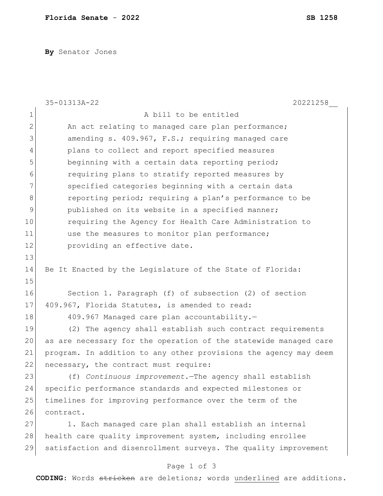**By** Senator Jones

|                | 35-01313A-22<br>20221258                                         |
|----------------|------------------------------------------------------------------|
| $\mathbf{1}$   | A bill to be entitled                                            |
| $\overline{2}$ | An act relating to managed care plan performance;                |
| 3              | amending s. 409.967, F.S.; requiring managed care                |
| 4              | plans to collect and report specified measures                   |
| 5              | beginning with a certain data reporting period;                  |
| 6              | requiring plans to stratify reported measures by                 |
| 7              | specified categories beginning with a certain data               |
| 8              | reporting period; requiring a plan's performance to be           |
| 9              | published on its website in a specified manner;                  |
| 10             | requiring the Agency for Health Care Administration to           |
| 11             | use the measures to monitor plan performance;                    |
| 12             | providing an effective date.                                     |
| 13             |                                                                  |
| 14             | Be It Enacted by the Legislature of the State of Florida:        |
| 15             |                                                                  |
| 16             | Section 1. Paragraph (f) of subsection (2) of section            |
| 17             | 409.967, Florida Statutes, is amended to read:                   |
| 18             | 409.967 Managed care plan accountability.-                       |
| 19             | (2) The agency shall establish such contract requirements        |
| 20             | as are necessary for the operation of the statewide managed care |
| 21             | program. In addition to any other provisions the agency may deem |
| 22             | necessary, the contract must require:                            |
| 23             | (f) Continuous improvement. The agency shall establish           |
| 24             | specific performance standards and expected milestones or        |
| 25             | timelines for improving performance over the term of the         |
| 26             | contract.                                                        |
| 27             | 1. Each managed care plan shall establish an internal            |
| 28             | health care quality improvement system, including enrollee       |
| 29             | satisfaction and disenrollment surveys. The quality improvement  |
|                |                                                                  |

## Page 1 of 3

**CODING**: Words stricken are deletions; words underlined are additions.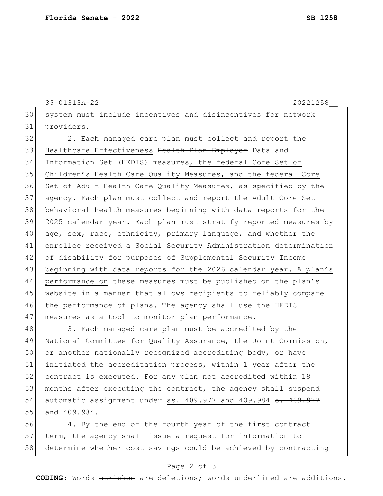```
35-01313A-22 20221258__
30 system must include incentives and disincentives for network 
31 providers.
32 2. Each managed care plan must collect and report the
33 Healthcare Effectiveness <del>Health Plan Employer</del> Data and
34 Information Set (HEDIS) measures, the federal Core Set of 
35 Children's Health Care Quality Measures, and the federal Core
36 Set of Adult Health Care Quality Measures, as specified by the
37 agency. Each plan must collect and report the Adult Core Set 
38 behavioral health measures beginning with data reports for the 
39 2025 calendar year. Each plan must stratify reported measures by 
40 age, sex, race, ethnicity, primary language, and whether the
41 enrollee received a Social Security Administration determination 
42 of disability for purposes of Supplemental Security Income 
43 beginning with data reports for the 2026 calendar year. A plan's
44 performance on these measures must be published on the plan's
```
47 | measures as a tool to monitor plan performance.

48 3. Each managed care plan must be accredited by the 49 National Committee for Quality Assurance, the Joint Commission, 50 or another nationally recognized accrediting body, or have 51 initiated the accreditation process, within 1 year after the 52 contract is executed. For any plan not accredited within 18 53 months after executing the contract, the agency shall suspend 54 automatic assignment under ss. 409.977 and 409.984 <del>s. 409.977</del> 55 and 409.984.

45 website in a manner that allows recipients to reliably compare

46 the performance of plans. The agency shall use the HEDIS

56 4. By the end of the fourth year of the first contract 57 term, the agency shall issue a request for information to 58 determine whether cost savings could be achieved by contracting

## Page 2 of 3

**CODING**: Words stricken are deletions; words underlined are additions.